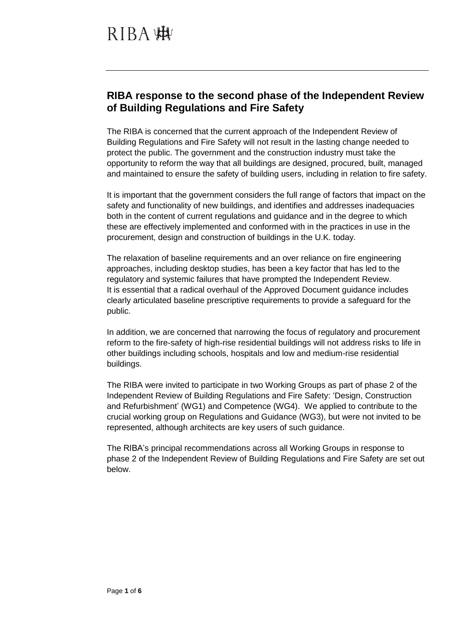## **RIBA response to the second phase of the Independent Review of Building Regulations and Fire Safety**

The RIBA is concerned that the current approach of the Independent Review of Building Regulations and Fire Safety will not result in the lasting change needed to protect the public. The government and the construction industry must take the opportunity to reform the way that all buildings are designed, procured, built, managed and maintained to ensure the safety of building users, including in relation to fire safety.

It is important that the government considers the full range of factors that impact on the safety and functionality of new buildings, and identifies and addresses inadequacies both in the content of current regulations and guidance and in the degree to which these are effectively implemented and conformed with in the practices in use in the procurement, design and construction of buildings in the U.K. today.

The relaxation of baseline requirements and an over reliance on fire engineering approaches, including desktop studies, has been a key factor that has led to the regulatory and systemic failures that have prompted the Independent Review. It is essential that a radical overhaul of the Approved Document guidance includes clearly articulated baseline prescriptive requirements to provide a safeguard for the public.

In addition, we are concerned that narrowing the focus of regulatory and procurement reform to the fire-safety of high-rise residential buildings will not address risks to life in other buildings including schools, hospitals and low and medium-rise residential buildings.

The RIBA were invited to participate in two Working Groups as part of phase 2 of the Independent Review of Building Regulations and Fire Safety: 'Design, Construction and Refurbishment' (WG1) and Competence (WG4). We applied to contribute to the crucial working group on Regulations and Guidance (WG3), but were not invited to be represented, although architects are key users of such guidance.

The RIBA's principal recommendations across all Working Groups in response to phase 2 of the Independent Review of Building Regulations and Fire Safety are set out below.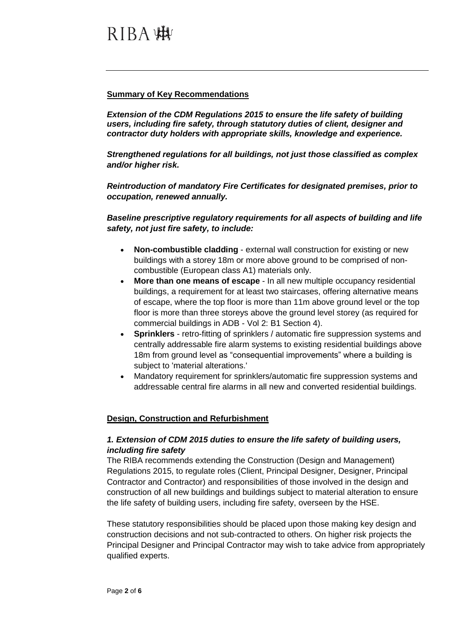#### **Summary of Key Recommendations**

*Extension of the CDM Regulations 2015 to ensure the life safety of building users, including fire safety, through statutory duties of client, designer and contractor duty holders with appropriate skills, knowledge and experience.*

*Strengthened regulations for all buildings, not just those classified as complex and/or higher risk.*

*Reintroduction of mandatory Fire Certificates for designated premises, prior to occupation, renewed annually.*

*Baseline prescriptive regulatory requirements for all aspects of building and life safety, not just fire safety, to include:*

- **Non-combustible cladding** external wall construction for existing or new buildings with a storey 18m or more above ground to be comprised of noncombustible (European class A1) materials only.
- **More than one means of escape** In all new multiple occupancy residential buildings, a requirement for at least two staircases, offering alternative means of escape, where the top floor is more than 11m above ground level or the top floor is more than three storeys above the ground level storey (as required for commercial buildings in ADB - Vol 2: B1 Section 4).
- **Sprinklers** retro-fitting of sprinklers / automatic fire suppression systems and centrally addressable fire alarm systems to existing residential buildings above 18m from ground level as "consequential improvements" where a building is subject to 'material alterations.'
- Mandatory requirement for sprinklers/automatic fire suppression systems and addressable central fire alarms in all new and converted residential buildings.

#### **Design, Construction and Refurbishment**

### *1. Extension of CDM 2015 duties to ensure the life safety of building users, including fire safety*

The RIBA recommends extending the Construction (Design and Management) Regulations 2015, to regulate roles (Client, Principal Designer, Designer, Principal Contractor and Contractor) and responsibilities of those involved in the design and construction of all new buildings and buildings subject to material alteration to ensure the life safety of building users, including fire safety, overseen by the HSE.

These statutory responsibilities should be placed upon those making key design and construction decisions and not sub-contracted to others. On higher risk projects the Principal Designer and Principal Contractor may wish to take advice from appropriately qualified experts.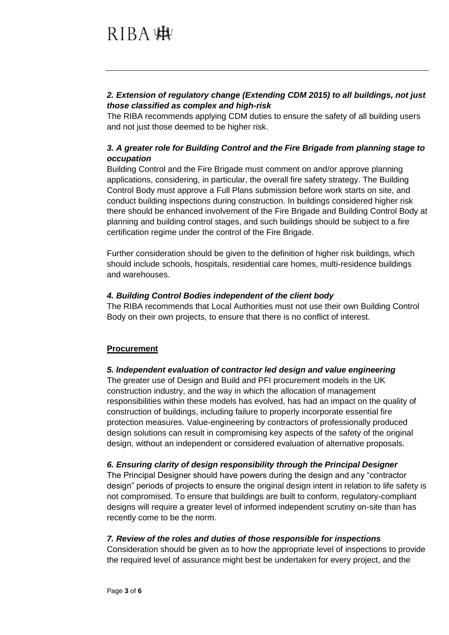## *2. Extension of regulatory change (Extending CDM 2015) to all buildings, not just those classified as complex and high-risk*

The RIBA recommends applying CDM duties to ensure the safety of all building users and not just those deemed to be higher risk.

## *3. A greater role for Building Control and the Fire Brigade from planning stage to occupation*

Building Control and the Fire Brigade must comment on and/or approve planning applications, considering, in particular, the overall fire safety strategy. The Building Control Body must approve a Full Plans submission before work starts on site, and conduct building inspections during construction. In buildings considered higher risk there should be enhanced involvement of the Fire Brigade and Building Control Body at planning and building control stages, and such buildings should be subject to a fire certification regime under the control of the Fire Brigade.

Further consideration should be given to the definition of higher risk buildings, which should include schools, hospitals, residential care homes, multi-residence buildings and warehouses.

### *4. Building Control Bodies independent of the client body*

The RIBA recommends that Local Authorities must not use their own Building Control Body on their own projects, to ensure that there is no conflict of interest.

## **Procurement**

## *5. Independent evaluation of contractor led design and value engineering*

The greater use of Design and Build and PFI procurement models in the UK construction industry, and the way in which the allocation of management responsibilities within these models has evolved, has had an impact on the quality of construction of buildings, including failure to properly incorporate essential fire protection measures. Value-engineering by contractors of professionally produced design solutions can result in compromising key aspects of the safety of the original design, without an independent or considered evaluation of alternative proposals.

## *6. Ensuring clarity of design responsibility through the Principal Designer*

The Principal Designer should have powers during the design and any "contractor design" periods of projects to ensure the original design intent in relation to life safety is not compromised. To ensure that buildings are built to conform, regulatory-compliant designs will require a greater level of informed independent scrutiny on-site than has recently come to be the norm.

#### *7. Review of the roles and duties of those responsible for inspections*

Consideration should be given as to how the appropriate level of inspections to provide the required level of assurance might best be undertaken for every project, and the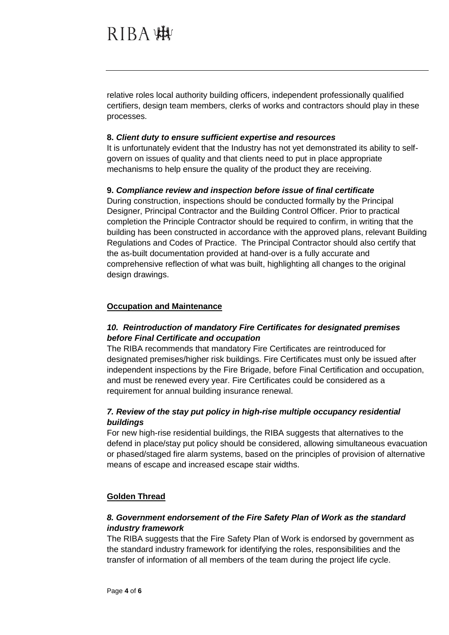relative roles local authority building officers, independent professionally qualified certifiers, design team members, clerks of works and contractors should play in these processes.

#### **8.** *Client duty to ensure sufficient expertise and resources*

It is unfortunately evident that the Industry has not yet demonstrated its ability to selfgovern on issues of quality and that clients need to put in place appropriate mechanisms to help ensure the quality of the product they are receiving.

#### **9.** *Compliance review and inspection before issue of final certificate*

During construction, inspections should be conducted formally by the Principal Designer, Principal Contractor and the Building Control Officer. Prior to practical completion the Principle Contractor should be required to confirm, in writing that the building has been constructed in accordance with the approved plans, relevant Building Regulations and Codes of Practice. The Principal Contractor should also certify that the as-built documentation provided at hand-over is a fully accurate and comprehensive reflection of what was built, highlighting all changes to the original design drawings.

#### **Occupation and Maintenance**

### *10. Reintroduction of mandatory Fire Certificates for designated premises before Final Certificate and occupation*

The RIBA recommends that mandatory Fire Certificates are reintroduced for designated premises/higher risk buildings. Fire Certificates must only be issued after independent inspections by the Fire Brigade, before Final Certification and occupation, and must be renewed every year. Fire Certificates could be considered as a requirement for annual building insurance renewal.

### *7. Review of the stay put policy in high-rise multiple occupancy residential buildings*

For new high-rise residential buildings, the RIBA suggests that alternatives to the defend in place/stay put policy should be considered, allowing simultaneous evacuation or phased/staged fire alarm systems, based on the principles of provision of alternative means of escape and increased escape stair widths.

#### **Golden Thread**

### *8. Government endorsement of the Fire Safety Plan of Work as the standard industry framework*

The RIBA suggests that the Fire Safety Plan of Work is endorsed by government as the standard industry framework for identifying the roles, responsibilities and the transfer of information of all members of the team during the project life cycle.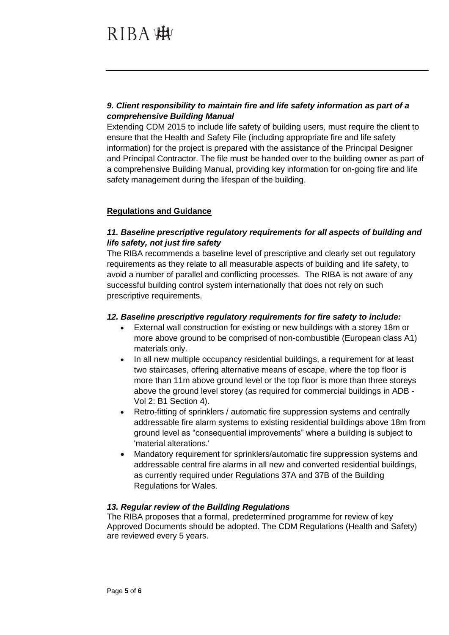### *9. Client responsibility to maintain fire and life safety information as part of a comprehensive Building Manual*

Extending CDM 2015 to include life safety of building users, must require the client to ensure that the Health and Safety File (including appropriate fire and life safety information) for the project is prepared with the assistance of the Principal Designer and Principal Contractor. The file must be handed over to the building owner as part of a comprehensive Building Manual, providing key information for on-going fire and life safety management during the lifespan of the building.

### **Regulations and Guidance**

## *11. Baseline prescriptive regulatory requirements for all aspects of building and life safety, not just fire safety*

The RIBA recommends a baseline level of prescriptive and clearly set out regulatory requirements as they relate to all measurable aspects of building and life safety, to avoid a number of parallel and conflicting processes. The RIBA is not aware of any successful building control system internationally that does not rely on such prescriptive requirements.

#### *12. Baseline prescriptive regulatory requirements for fire safety to include:*

- External wall construction for existing or new buildings with a storey 18m or more above ground to be comprised of non-combustible (European class A1) materials only.
- In all new multiple occupancy residential buildings, a requirement for at least two staircases, offering alternative means of escape, where the top floor is more than 11m above ground level or the top floor is more than three storeys above the ground level storey (as required for commercial buildings in ADB - Vol 2: B1 Section 4).
- Retro-fitting of sprinklers / automatic fire suppression systems and centrally addressable fire alarm systems to existing residential buildings above 18m from ground level as "consequential improvements" where a building is subject to 'material alterations.'
- Mandatory requirement for sprinklers/automatic fire suppression systems and addressable central fire alarms in all new and converted residential buildings, as currently required under Regulations 37A and 37B of the Building Regulations for Wales.

#### *13. Regular review of the Building Regulations*

The RIBA proposes that a formal, predetermined programme for review of key Approved Documents should be adopted. The CDM Regulations (Health and Safety) are reviewed every 5 years.